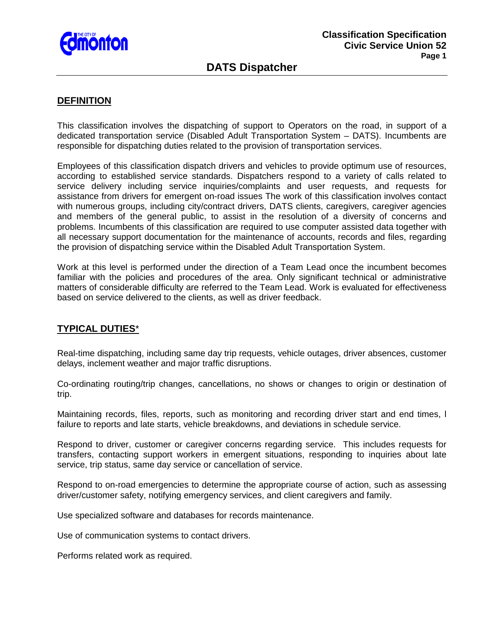

# **DATS Dispatcher**

# **DEFINITION**

This classification involves the dispatching of support to Operators on the road, in support of a dedicated transportation service (Disabled Adult Transportation System – DATS). Incumbents are responsible for dispatching duties related to the provision of transportation services.

Employees of this classification dispatch drivers and vehicles to provide optimum use of resources, according to established service standards. Dispatchers respond to a variety of calls related to service delivery including service inquiries/complaints and user requests, and requests for assistance from drivers for emergent on-road issues The work of this classification involves contact with numerous groups, including city/contract drivers, DATS clients, caregivers, caregiver agencies and members of the general public, to assist in the resolution of a diversity of concerns and problems. Incumbents of this classification are required to use computer assisted data together with all necessary support documentation for the maintenance of accounts, records and files, regarding the provision of dispatching service within the Disabled Adult Transportation System.

Work at this level is performed under the direction of a Team Lead once the incumbent becomes familiar with the policies and procedures of the area. Only significant technical or administrative matters of considerable difficulty are referred to the Team Lead. Work is evaluated for effectiveness based on service delivered to the clients, as well as driver feedback.

### **TYPICAL DUTIES**\*

Real-time dispatching, including same day trip requests, vehicle outages, driver absences, customer delays, inclement weather and major traffic disruptions.

Co-ordinating routing/trip changes, cancellations, no shows or changes to origin or destination of trip.

Maintaining records, files, reports, such as monitoring and recording driver start and end times, l failure to reports and late starts, vehicle breakdowns, and deviations in schedule service.

Respond to driver, customer or caregiver concerns regarding service. This includes requests for transfers, contacting support workers in emergent situations, responding to inquiries about late service, trip status, same day service or cancellation of service.

Respond to on-road emergencies to determine the appropriate course of action, such as assessing driver/customer safety, notifying emergency services, and client caregivers and family.

Use specialized software and databases for records maintenance.

Use of communication systems to contact drivers.

Performs related work as required.